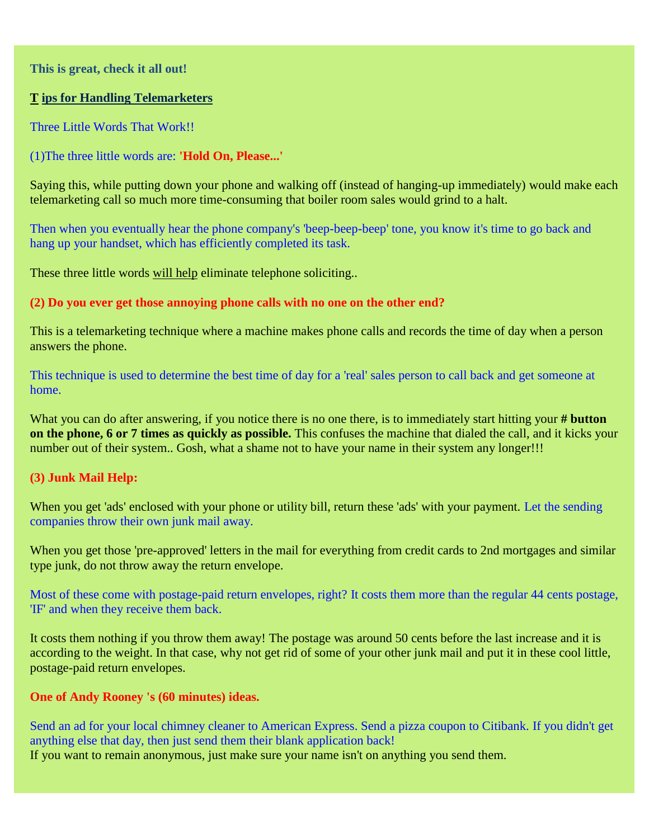**This is great, check it all out!**

## **T ips for Handling Telemarketers**

Three Little Words That Work!!

(1)The three little words are: **'Hold On, Please...'** 

Saying this, while putting down your phone and walking off (instead of hanging-up immediately) would make each telemarketing call so much more time-consuming that boiler room sales would grind to a halt.

Then when you eventually hear the phone company's 'beep-beep-beep' tone, you know it's time to go back and hang up your handset, which has efficiently completed its task.

These three little words will help eliminate telephone soliciting...

## **(2) Do you ever get those annoying phone calls with no one on the other end?**

This is a telemarketing technique where a machine makes phone calls and records the time of day when a person answers the phone.

This technique is used to determine the best time of day for a 'real' sales person to call back and get someone at home.

What you can do after answering, if you notice there is no one there, is to immediately start hitting your **# button on the phone, 6 or 7 times as quickly as possible.** This confuses the machine that dialed the call, and it kicks your number out of their system.. Gosh, what a shame not to have your name in their system any longer!!!

## **(3) Junk Mail Help:**

When you get 'ads' enclosed with your phone or utility bill, return these 'ads' with your payment. Let the sending companies throw their own junk mail away.

When you get those 'pre-approved' letters in the mail for everything from credit cards to 2nd mortgages and similar type junk, do not throw away the return envelope.

Most of these come with postage-paid return envelopes, right? It costs them more than the regular 44 cents postage, 'IF' and when they receive them back.

It costs them nothing if you throw them away! The postage was around 50 cents before the last increase and it is according to the weight. In that case, why not get rid of some of your other junk mail and put it in these cool little, postage-paid return envelopes.

## **One of Andy Rooney 's (60 minutes) ideas.**

Send an ad for your local chimney cleaner to American Express. Send a pizza coupon to Citibank. If you didn't get anything else that day, then just send them their blank application back! If you want to remain anonymous, just make sure your name isn't on anything you send them.